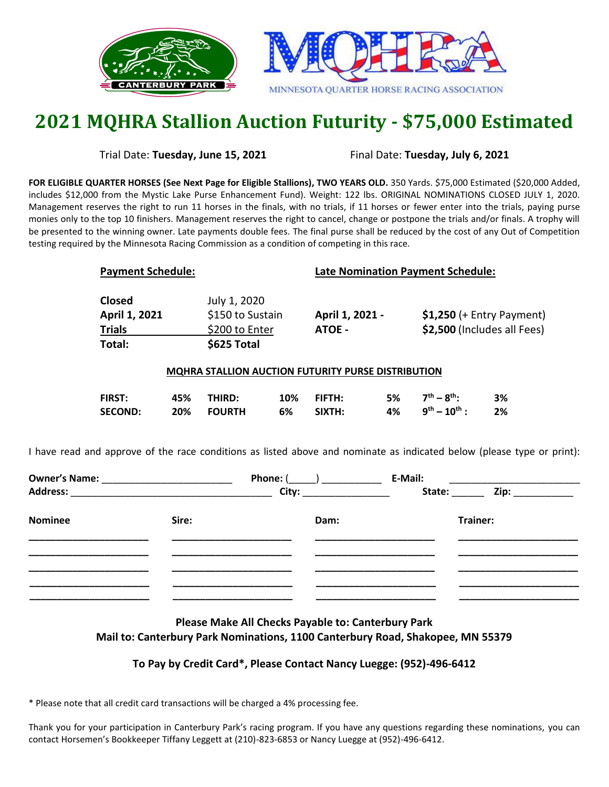



## **2021 MQHRA Stallion Auction Futurity - \$75,000 Estimated**

Trial Date: **Tuesday, June 15, 2021** Final Date: **Tuesday, July 6, 2021**

**FOR ELIGIBLE QUARTER HORSES (See Next Page for Eligible Stallions), TWO YEARS OLD.** 350 Yards. \$75,000 Estimated (\$20,000 Added, includes \$12,000 from the Mystic Lake Purse Enhancement Fund). Weight: 122 lbs. ORIGINAL NOMINATIONS CLOSED JULY 1, 2020. Management reserves the right to run 11 horses in the finals, with no trials, if 11 horses or fewer enter into the trials, paying purse monies only to the top 10 finishers. Management reserves the right to cancel, change or postpone the trials and/or finals. A trophy will be presented to the winning owner. Late payments double fees. The final purse shall be reduced by the cost of any Out of Competition testing required by the Minnesota Racing Commission as a condition of competing in this race.

| <b>Payment Schedule:</b>                                  |                                                                   | <b>Late Nomination Payment Schedule:</b> |                                                           |  |
|-----------------------------------------------------------|-------------------------------------------------------------------|------------------------------------------|-----------------------------------------------------------|--|
| <b>Closed</b><br>April 1, 2021<br><b>Trials</b><br>Total: | July 1, 2020<br>\$150 to Sustain<br>\$200 to Enter<br>\$625 Total | April 1, 2021 -<br>ATOE -                | $$1,250$ (+ Entry Payment)<br>\$2,500 (Includes all Fees) |  |
| MQHRA STALLION AUCTION FUTURITY PURSE DISTRIBUTION        |                                                                   |                                          |                                                           |  |

| FIRST:         | 45% THIRD: | 10% FIFTH: | 5% $7^{\text{th}} - 8^{\text{th}}$ | 3% |
|----------------|------------|------------|------------------------------------|----|
| <b>SECOND:</b> | 20% FOURTH | 6% SIXTH:  | 4% $9^{th} - 10^{th}$ : 2%         |    |

I have read and approve of the race conditions as listed above and nominate as indicated below (please type or print):

|                |       | Phone: $(\qquad)$                                                                                                                                                                                                              | E-Mail: |                                    |
|----------------|-------|--------------------------------------------------------------------------------------------------------------------------------------------------------------------------------------------------------------------------------|---------|------------------------------------|
|                |       | Address: City: City: City: City: City: City: City: City: City: City: City: City: City: City: City: City: City: City: City: City: City: City: City: City: City: City: City: City: City: City: City: City: City: City: City: Cit |         | State: <u>University</u> Zip: 2010 |
| <b>Nominee</b> | Sire: | Dam:                                                                                                                                                                                                                           |         | Trainer:                           |
|                |       |                                                                                                                                                                                                                                |         |                                    |
|                |       |                                                                                                                                                                                                                                |         |                                    |
|                |       |                                                                                                                                                                                                                                |         |                                    |
|                |       |                                                                                                                                                                                                                                |         |                                    |

**Please Make All Checks Payable to: Canterbury Park Mail to: Canterbury Park Nominations, 1100 Canterbury Road, Shakopee, MN 55379**

## **To Pay by Credit Card\*, Please Contact Nancy Luegge: (952)-496-6412**

\* Please note that all credit card transactions will be charged a 4% processing fee.

Thank you for your participation in Canterbury Park's racing program. If you have any questions regarding these nominations, you can contact Horsemen's Bookkeeper Tiffany Leggett at (210)-823-6853 or Nancy Luegge at (952)-496-6412.